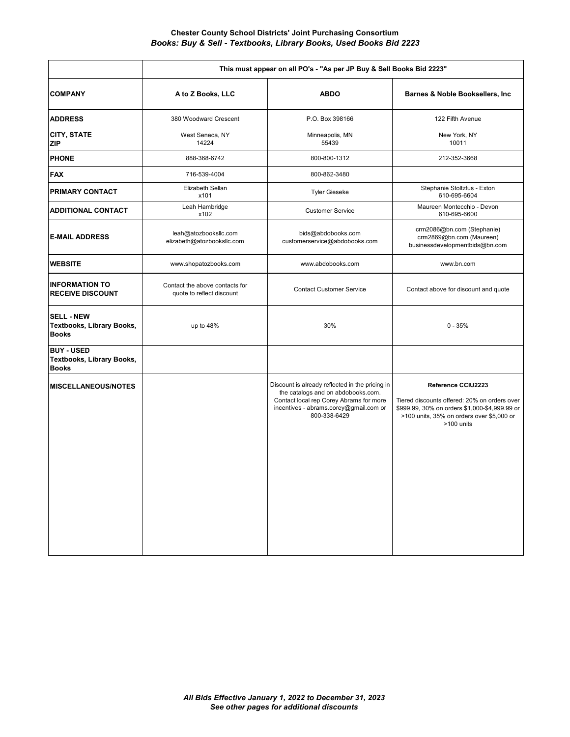|                                                                       | This must appear on all PO's - "As per JP Buy & Sell Books Bid 2223" |                                                                                                                                                                                            |                                                                                                                                                                                  |
|-----------------------------------------------------------------------|----------------------------------------------------------------------|--------------------------------------------------------------------------------------------------------------------------------------------------------------------------------------------|----------------------------------------------------------------------------------------------------------------------------------------------------------------------------------|
| <b>COMPANY</b>                                                        | A to Z Books, LLC                                                    | <b>ABDO</b>                                                                                                                                                                                | Barnes & Noble Booksellers, Inc.                                                                                                                                                 |
| <b>ADDRESS</b>                                                        | 380 Woodward Crescent                                                | P.O. Box 398166                                                                                                                                                                            | 122 Fifth Avenue                                                                                                                                                                 |
| <b>CITY, STATE</b><br><b>ZIP</b>                                      | West Seneca, NY<br>14224                                             | Minneapolis, MN<br>55439                                                                                                                                                                   | New York, NY<br>10011                                                                                                                                                            |
| <b>PHONE</b>                                                          | 888-368-6742                                                         | 800-800-1312                                                                                                                                                                               | 212-352-3668                                                                                                                                                                     |
| <b>FAX</b>                                                            | 716-539-4004                                                         | 800-862-3480                                                                                                                                                                               |                                                                                                                                                                                  |
| PRIMARY CONTACT                                                       | Elizabeth Sellan<br>x101                                             | <b>Tyler Gieseke</b>                                                                                                                                                                       | Stephanie Stoltzfus - Exton<br>610-695-6604                                                                                                                                      |
| <b>ADDITIONAL CONTACT</b>                                             | Leah Hambridge<br>x102                                               | <b>Customer Service</b>                                                                                                                                                                    | Maureen Montecchio - Devon<br>610-695-6600                                                                                                                                       |
| <b>E-MAIL ADDRESS</b>                                                 | leah@atozbooksllc.com<br>elizabeth@atozbooksllc.com                  | bids@abdobooks.com<br>customerservice@abdobooks.com                                                                                                                                        | crm2086@bn.com (Stephanie)<br>crm2869@bn.com (Maureen)<br>businessdevelopmentbids@bn.com                                                                                         |
| <b>WEBSITE</b>                                                        | www.shopatozbooks.com                                                | www.abdobooks.com                                                                                                                                                                          | www.bn.com                                                                                                                                                                       |
| <b>INFORMATION TO</b><br><b>RECEIVE DISCOUNT</b>                      | Contact the above contacts for<br>quote to reflect discount          | <b>Contact Customer Service</b>                                                                                                                                                            | Contact above for discount and quote                                                                                                                                             |
| <b>SELL - NEW</b><br>Textbooks, Library Books,<br><b>Books</b>        | up to 48%                                                            | 30%                                                                                                                                                                                        | $0 - 35%$                                                                                                                                                                        |
| <b>BUY - USED</b><br><b>Textbooks, Library Books,</b><br><b>Books</b> |                                                                      |                                                                                                                                                                                            |                                                                                                                                                                                  |
| <b>MISCELLANEOUS/NOTES</b>                                            |                                                                      | Discount is already reflected in the pricing in<br>the catalogs and on abdobooks.com.<br>Contact local rep Corey Abrams for more<br>incentives - abrams.corey@gmail.com or<br>800-338-6429 | Reference CCIU2223<br>Tiered discounts offered: 20% on orders over<br>\$999.99, 30% on orders \$1,000-\$4,999.99 or<br>>100 units, 35% on orders over \$5,000 or<br>$>100$ units |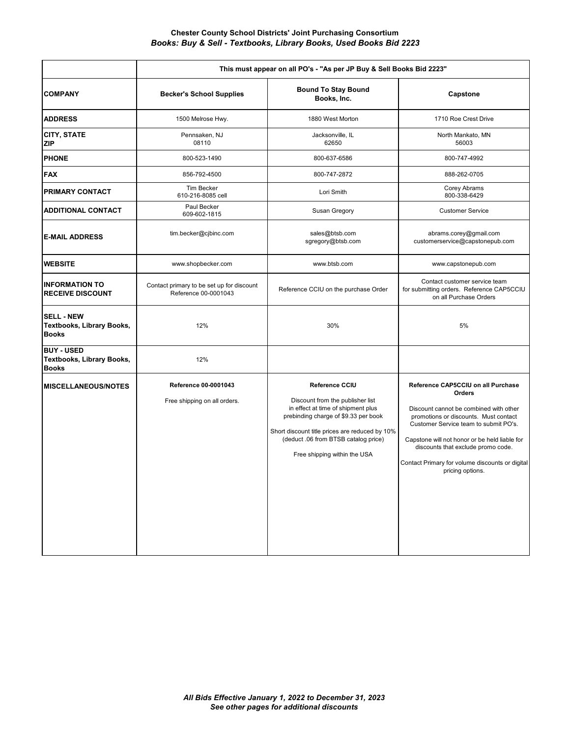|                                                                | This must appear on all PO's - "As per JP Buy & Sell Books Bid 2223" |                                                                                                                                                                                                                                                                   |                                                                                                                                                                                                                                                                                                                                        |
|----------------------------------------------------------------|----------------------------------------------------------------------|-------------------------------------------------------------------------------------------------------------------------------------------------------------------------------------------------------------------------------------------------------------------|----------------------------------------------------------------------------------------------------------------------------------------------------------------------------------------------------------------------------------------------------------------------------------------------------------------------------------------|
| <b>COMPANY</b>                                                 | <b>Becker's School Supplies</b>                                      | <b>Bound To Stay Bound</b><br>Books, Inc.                                                                                                                                                                                                                         | Capstone                                                                                                                                                                                                                                                                                                                               |
| <b>ADDRESS</b>                                                 | 1500 Melrose Hwy.                                                    | 1880 West Morton                                                                                                                                                                                                                                                  | 1710 Roe Crest Drive                                                                                                                                                                                                                                                                                                                   |
| <b>CITY, STATE</b><br><b>ZIP</b>                               | Pennsaken, NJ<br>08110                                               | Jacksonville, IL<br>62650                                                                                                                                                                                                                                         | North Mankato, MN<br>56003                                                                                                                                                                                                                                                                                                             |
| <b>PHONE</b>                                                   | 800-523-1490                                                         | 800-637-6586                                                                                                                                                                                                                                                      | 800-747-4992                                                                                                                                                                                                                                                                                                                           |
| <b>FAX</b>                                                     | 856-792-4500                                                         | 800-747-2872                                                                                                                                                                                                                                                      | 888-262-0705                                                                                                                                                                                                                                                                                                                           |
| PRIMARY CONTACT                                                | <b>Tim Becker</b><br>610-216-8085 cell                               | Lori Smith                                                                                                                                                                                                                                                        | Corey Abrams<br>800-338-6429                                                                                                                                                                                                                                                                                                           |
| <b>ADDITIONAL CONTACT</b>                                      | Paul Becker<br>609-602-1815                                          | Susan Gregory                                                                                                                                                                                                                                                     | <b>Customer Service</b>                                                                                                                                                                                                                                                                                                                |
| <b>E-MAIL ADDRESS</b>                                          | tim.becker@cjbinc.com                                                | sales@btsb.com<br>sgregory@btsb.com                                                                                                                                                                                                                               | abrams.corey@gmail.com<br>customerservice@capstonepub.com                                                                                                                                                                                                                                                                              |
| <b>WEBSITE</b>                                                 | www.shopbecker.com                                                   | www.btsb.com                                                                                                                                                                                                                                                      | www.capstonepub.com                                                                                                                                                                                                                                                                                                                    |
| <b>INFORMATION TO</b><br><b>RECEIVE DISCOUNT</b>               | Contact primary to be set up for discount<br>Reference 00-0001043    | Reference CCIU on the purchase Order                                                                                                                                                                                                                              | Contact customer service team<br>for submitting orders. Reference CAP5CCIU<br>on all Purchase Orders                                                                                                                                                                                                                                   |
| <b>SELL - NEW</b><br>Textbooks, Library Books,<br><b>Books</b> | 12%                                                                  | 30%                                                                                                                                                                                                                                                               | 5%                                                                                                                                                                                                                                                                                                                                     |
| <b>BUY - USED</b><br>Textbooks, Library Books,<br><b>Books</b> | 12%                                                                  |                                                                                                                                                                                                                                                                   |                                                                                                                                                                                                                                                                                                                                        |
| <b>MISCELLANEOUS/NOTES</b>                                     | Reference 00-0001043<br>Free shipping on all orders.                 | <b>Reference CCIU</b><br>Discount from the publisher list<br>in effect at time of shipment plus<br>prebinding charge of \$9.33 per book<br>Short discount title prices are reduced by 10%<br>(deduct .06 from BTSB catalog price)<br>Free shipping within the USA | Reference CAP5CCIU on all Purchase<br>Orders<br>Discount cannot be combined with other<br>promotions or discounts. Must contact<br>Customer Service team to submit PO's.<br>Capstone will not honor or be held liable for<br>discounts that exclude promo code.<br>Contact Primary for volume discounts or digital<br>pricing options. |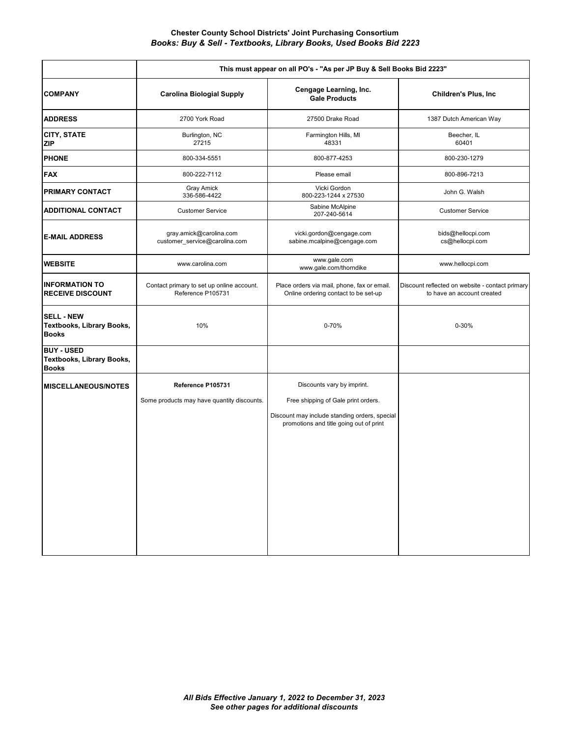|                                                                       | This must appear on all PO's - "As per JP Buy & Sell Books Bid 2223" |                                                                                          |                                                                               |
|-----------------------------------------------------------------------|----------------------------------------------------------------------|------------------------------------------------------------------------------------------|-------------------------------------------------------------------------------|
| <b>COMPANY</b>                                                        | <b>Carolina Biologial Supply</b>                                     | Cengage Learning, Inc.<br><b>Gale Products</b>                                           | <b>Children's Plus, Inc.</b>                                                  |
| <b>ADDRESS</b>                                                        | 2700 York Road                                                       | 27500 Drake Road                                                                         | 1387 Dutch American Way                                                       |
| <b>CITY, STATE</b><br><b>ZIP</b>                                      | Burlington, NC<br>27215                                              | Farmington Hills, MI<br>48331                                                            | Beecher, IL<br>60401                                                          |
| <b>PHONE</b>                                                          | 800-334-5551                                                         | 800-877-4253                                                                             | 800-230-1279                                                                  |
| <b>FAX</b>                                                            | 800-222-7112                                                         | Please email                                                                             | 800-896-7213                                                                  |
| PRIMARY CONTACT                                                       | <b>Gray Amick</b><br>336-586-4422                                    | Vicki Gordon<br>800-223-1244 x 27530                                                     | John G. Walsh                                                                 |
| <b>ADDITIONAL CONTACT</b>                                             | <b>Customer Service</b>                                              | Sabine McAlpine<br>207-240-5614                                                          | <b>Customer Service</b>                                                       |
| <b>E-MAIL ADDRESS</b>                                                 | gray.amick@carolina.com<br>customer_service@carolina.com             | vicki.gordon@cengage.com<br>sabine.mcalpine@cengage.com                                  | bids@hellocpi.com<br>cs@hellocpi.com                                          |
| <b>WEBSITE</b>                                                        | www.carolina.com                                                     | www.gale.com<br>www.gale.com/thorndike                                                   | www.hellocpi.com                                                              |
| <b>INFORMATION TO</b><br><b>RECEIVE DISCOUNT</b>                      | Contact primary to set up online account.<br>Reference P105731       | Place orders via mail, phone, fax or email.<br>Online ordering contact to be set-up      | Discount reflected on website - contact primary<br>to have an account created |
| <b>SELL - NEW</b><br><b>Textbooks, Library Books,</b><br><b>Books</b> | 10%                                                                  | 0-70%                                                                                    | 0-30%                                                                         |
| <b>BUY - USED</b><br>Textbooks, Library Books,<br><b>Books</b>        |                                                                      |                                                                                          |                                                                               |
| <b>MISCELLANEOUS/NOTES</b>                                            | Reference P105731                                                    | Discounts vary by imprint.                                                               |                                                                               |
|                                                                       | Some products may have quantity discounts.                           | Free shipping of Gale print orders.                                                      |                                                                               |
|                                                                       |                                                                      | Discount may include standing orders, special<br>promotions and title going out of print |                                                                               |
|                                                                       |                                                                      |                                                                                          |                                                                               |
|                                                                       |                                                                      |                                                                                          |                                                                               |
|                                                                       |                                                                      |                                                                                          |                                                                               |
|                                                                       |                                                                      |                                                                                          |                                                                               |
|                                                                       |                                                                      |                                                                                          |                                                                               |
|                                                                       |                                                                      |                                                                                          |                                                                               |
|                                                                       |                                                                      |                                                                                          |                                                                               |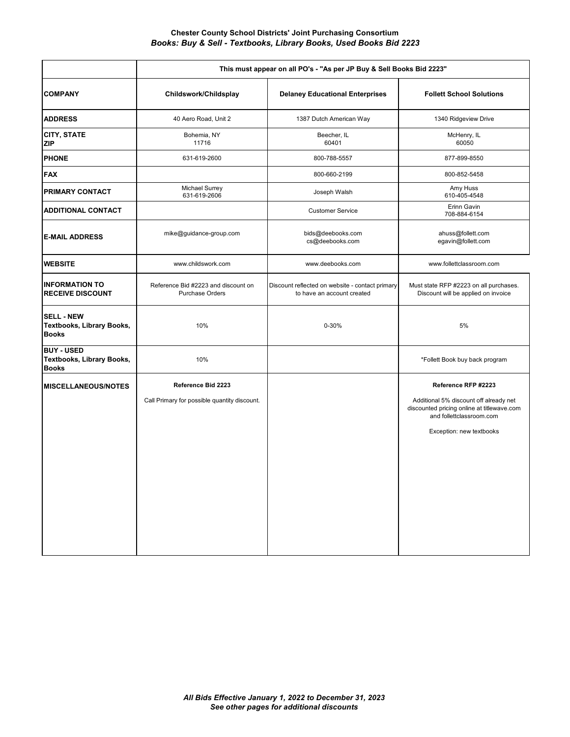|                                                                | This must appear on all PO's - "As per JP Buy & Sell Books Bid 2223" |                                                                               |                                                                                                                  |
|----------------------------------------------------------------|----------------------------------------------------------------------|-------------------------------------------------------------------------------|------------------------------------------------------------------------------------------------------------------|
| <b>COMPANY</b>                                                 | Childswork/Childsplay                                                | <b>Delaney Educational Enterprises</b>                                        | <b>Follett School Solutions</b>                                                                                  |
| <b>ADDRESS</b>                                                 | 40 Aero Road, Unit 2                                                 | 1387 Dutch American Way                                                       | 1340 Ridgeview Drive                                                                                             |
| <b>CITY, STATE</b><br><b>ZIP</b>                               | Bohemia, NY<br>11716                                                 | Beecher, IL<br>60401                                                          | McHenry, IL<br>60050                                                                                             |
| <b>PHONE</b>                                                   | 631-619-2600                                                         | 800-788-5557                                                                  | 877-899-8550                                                                                                     |
| <b>FAX</b>                                                     |                                                                      | 800-660-2199                                                                  | 800-852-5458                                                                                                     |
| PRIMARY CONTACT                                                | Michael Surrey<br>631-619-2606                                       | Joseph Walsh                                                                  | Amy Huss<br>610-405-4548                                                                                         |
| <b>ADDITIONAL CONTACT</b>                                      |                                                                      | <b>Customer Service</b>                                                       | Erinn Gavin<br>708-884-6154                                                                                      |
| <b>E-MAIL ADDRESS</b>                                          | mike@guidance-group.com                                              | bids@deebooks.com<br>cs@deebooks.com                                          | ahuss@follett.com<br>egavin@follett.com                                                                          |
| <b>WEBSITE</b>                                                 | www.childswork.com                                                   | www.deebooks.com                                                              | www.follettclassroom.com                                                                                         |
| <b>INFORMATION TO</b><br><b>RECEIVE DISCOUNT</b>               | Reference Bid #2223 and discount on<br><b>Purchase Orders</b>        | Discount reflected on website - contact primary<br>to have an account created | Must state RFP #2223 on all purchases.<br>Discount will be applied on invoice                                    |
| <b>SELL - NEW</b><br>Textbooks, Library Books,<br><b>Books</b> | 10%                                                                  | 0-30%                                                                         | 5%                                                                                                               |
| <b>BUY - USED</b><br>Textbooks, Library Books,<br><b>Books</b> | 10%                                                                  |                                                                               | *Follett Book buy back program                                                                                   |
| <b>MISCELLANEOUS/NOTES</b>                                     | Reference Bid 2223                                                   |                                                                               | Reference RFP #2223                                                                                              |
|                                                                | Call Primary for possible quantity discount.                         |                                                                               | Additional 5% discount off already net<br>discounted pricing online at titlewave.com<br>and follettclassroom.com |
|                                                                |                                                                      |                                                                               | Exception: new textbooks                                                                                         |
|                                                                |                                                                      |                                                                               |                                                                                                                  |
|                                                                |                                                                      |                                                                               |                                                                                                                  |
|                                                                |                                                                      |                                                                               |                                                                                                                  |
|                                                                |                                                                      |                                                                               |                                                                                                                  |
|                                                                |                                                                      |                                                                               |                                                                                                                  |
|                                                                |                                                                      |                                                                               |                                                                                                                  |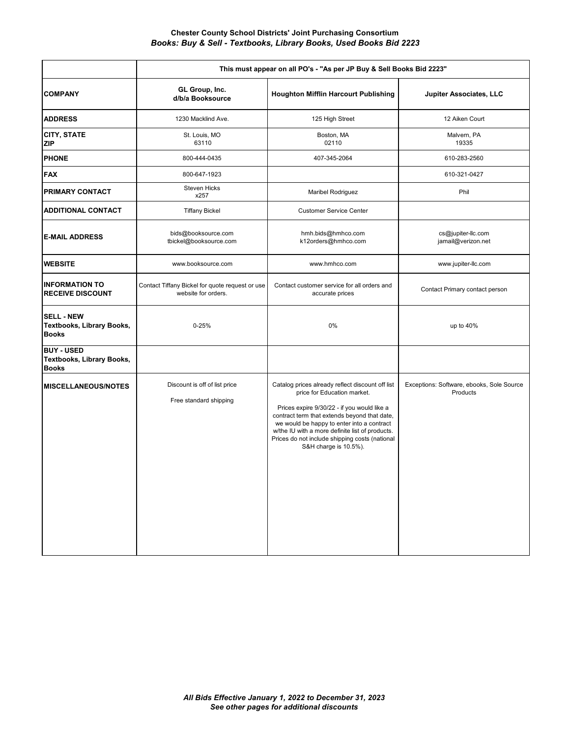|                                                                | This must appear on all PO's - "As per JP Buy & Sell Books Bid 2223"   |                                                                                                                                                                                                                                                                                                                                                            |                                                       |
|----------------------------------------------------------------|------------------------------------------------------------------------|------------------------------------------------------------------------------------------------------------------------------------------------------------------------------------------------------------------------------------------------------------------------------------------------------------------------------------------------------------|-------------------------------------------------------|
| <b>COMPANY</b>                                                 | GL Group, Inc.<br>d/b/a Booksource                                     | <b>Houghton Mifflin Harcourt Publishing</b>                                                                                                                                                                                                                                                                                                                | Jupiter Associates, LLC                               |
| <b>ADDRESS</b>                                                 | 1230 Macklind Ave.                                                     | 125 High Street                                                                                                                                                                                                                                                                                                                                            | 12 Aiken Court                                        |
| <b>CITY, STATE</b><br><b>ZIP</b>                               | St. Louis, MO<br>63110                                                 | Boston, MA<br>02110                                                                                                                                                                                                                                                                                                                                        | Malvern, PA<br>19335                                  |
| <b>PHONE</b>                                                   | 800-444-0435                                                           | 407-345-2064                                                                                                                                                                                                                                                                                                                                               | 610-283-2560                                          |
| <b>FAX</b>                                                     | 800-647-1923                                                           |                                                                                                                                                                                                                                                                                                                                                            | 610-321-0427                                          |
| <b>PRIMARY CONTACT</b>                                         | <b>Steven Hicks</b><br>x257                                            | Maribel Rodriguez                                                                                                                                                                                                                                                                                                                                          | Phil                                                  |
| <b>ADDITIONAL CONTACT</b>                                      | <b>Tiffany Bickel</b>                                                  | <b>Customer Service Center</b>                                                                                                                                                                                                                                                                                                                             |                                                       |
| <b>E-MAIL ADDRESS</b>                                          | bids@booksource.com<br>tbickel@booksource.com                          | hmh.bids@hmhco.com<br>k12orders@hmhco.com                                                                                                                                                                                                                                                                                                                  | cs@jupiter-llc.com<br>jamail@verizon.net              |
| <b>WEBSITE</b>                                                 | www.booksource.com                                                     | www.hmhco.com                                                                                                                                                                                                                                                                                                                                              | www.jupiter-llc.com                                   |
| <b>INFORMATION TO</b><br><b>RECEIVE DISCOUNT</b>               | Contact Tiffany Bickel for quote request or use<br>website for orders. | Contact customer service for all orders and<br>accurate prices                                                                                                                                                                                                                                                                                             | Contact Primary contact person                        |
| <b>SELL - NEW</b><br>Textbooks, Library Books,<br><b>Books</b> | $0 - 25%$                                                              | 0%                                                                                                                                                                                                                                                                                                                                                         | up to 40%                                             |
| <b>BUY - USED</b><br>Textbooks, Library Books,<br><b>Books</b> |                                                                        |                                                                                                                                                                                                                                                                                                                                                            |                                                       |
| <b>MISCELLANEOUS/NOTES</b>                                     | Discount is off of list price<br>Free standard shipping                | Catalog prices already reflect discount off list<br>price for Education market.<br>Prices expire 9/30/22 - if you would like a<br>contract term that extends beyond that date,<br>we would be happy to enter into a contract<br>w/the IU with a more definite list of products.<br>Prices do not include shipping costs (national<br>S&H charge is 10.5%). | Exceptions: Software, ebooks, Sole Source<br>Products |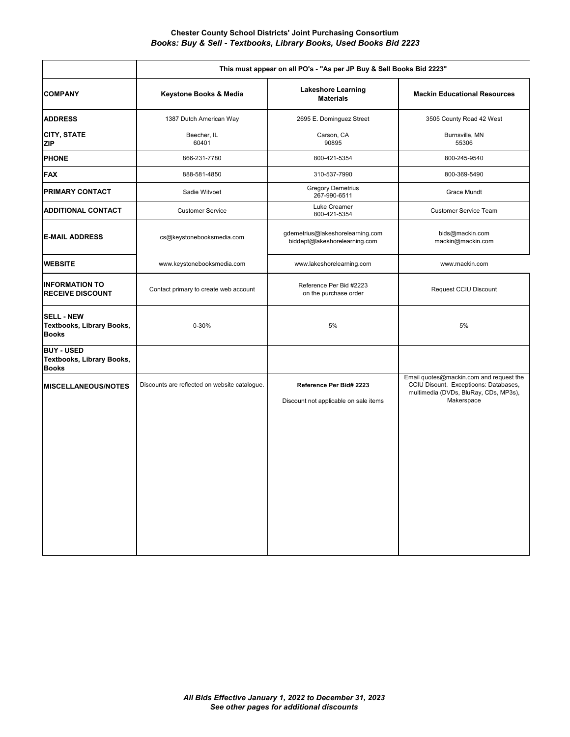|                                                                | This must appear on all PO's - "As per JP Buy & Sell Books Bid 2223" |                                                                   |                                                                                                                                         |
|----------------------------------------------------------------|----------------------------------------------------------------------|-------------------------------------------------------------------|-----------------------------------------------------------------------------------------------------------------------------------------|
| <b>COMPANY</b>                                                 | Keystone Books & Media                                               | <b>Lakeshore Learning</b><br><b>Materials</b>                     | <b>Mackin Educational Resources</b>                                                                                                     |
| <b>ADDRESS</b>                                                 | 1387 Dutch American Way                                              | 2695 E. Dominguez Street                                          | 3505 County Road 42 West                                                                                                                |
| <b>CITY, STATE</b><br><b>ZIP</b>                               | Beecher, IL<br>60401                                                 | Carson, CA<br>90895                                               | Burnsville, MN<br>55306                                                                                                                 |
| <b>PHONE</b>                                                   | 866-231-7780                                                         | 800-421-5354                                                      | 800-245-9540                                                                                                                            |
| <b>FAX</b>                                                     | 888-581-4850                                                         | 310-537-7990                                                      | 800-369-5490                                                                                                                            |
| <b>PRIMARY CONTACT</b>                                         | Sadie Witvoet                                                        | <b>Gregory Demetrius</b><br>267-990-6511                          | Grace Mundt                                                                                                                             |
| <b>ADDITIONAL CONTACT</b>                                      | <b>Customer Service</b>                                              | Luke Creamer<br>800-421-5354                                      | <b>Customer Service Team</b>                                                                                                            |
| <b>E-MAIL ADDRESS</b>                                          | cs@keystonebooksmedia.com                                            | gdemetrius@lakeshorelearning.com<br>biddept@lakeshorelearning.com | bids@mackin.com<br>mackin@mackin.com                                                                                                    |
| <b>WEBSITE</b>                                                 | www.keystonebooksmedia.com                                           | www.lakeshorelearning.com                                         | www.mackin.com                                                                                                                          |
| <b>INFORMATION TO</b><br><b>RECEIVE DISCOUNT</b>               | Contact primary to create web account                                | Reference Per Bid #2223<br>on the purchase order                  | Request CCIU Discount                                                                                                                   |
| <b>SELL - NEW</b><br>Textbooks, Library Books,<br><b>Books</b> | 0-30%                                                                | 5%                                                                | 5%                                                                                                                                      |
| <b>BUY - USED</b><br>Textbooks, Library Books,<br><b>Books</b> |                                                                      |                                                                   |                                                                                                                                         |
| <b>MISCELLANEOUS/NOTES</b>                                     | Discounts are reflected on website catalogue.                        | Reference Per Bid# 2223<br>Discount not applicable on sale items  | Email quotes@mackin.com and request the<br>CCIU Disount. Exceptioons: Databases,<br>multimedia (DVDs, BluRay, CDs, MP3s),<br>Makerspace |
|                                                                |                                                                      |                                                                   |                                                                                                                                         |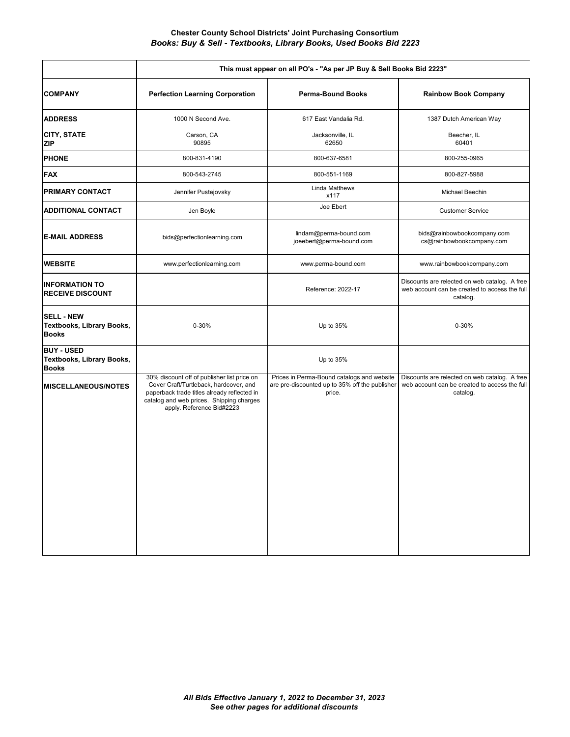|                                                                | This must appear on all PO's - "As per JP Buy & Sell Books Bid 2223"                                                                                                                                          |                                                                                                        |                                                                                                            |
|----------------------------------------------------------------|---------------------------------------------------------------------------------------------------------------------------------------------------------------------------------------------------------------|--------------------------------------------------------------------------------------------------------|------------------------------------------------------------------------------------------------------------|
| <b>COMPANY</b>                                                 | <b>Perfection Learning Corporation</b>                                                                                                                                                                        | <b>Perma-Bound Books</b>                                                                               | <b>Rainbow Book Company</b>                                                                                |
| <b>ADDRESS</b>                                                 | 1000 N Second Ave.                                                                                                                                                                                            | 617 East Vandalia Rd.                                                                                  | 1387 Dutch American Way                                                                                    |
| <b>CITY, STATE</b><br><b>ZIP</b>                               | Carson, CA<br>90895                                                                                                                                                                                           | Jacksonville, IL<br>62650                                                                              | Beecher, IL<br>60401                                                                                       |
| <b>PHONE</b>                                                   | 800-831-4190                                                                                                                                                                                                  | 800-637-6581                                                                                           | 800-255-0965                                                                                               |
| <b>FAX</b>                                                     | 800-543-2745                                                                                                                                                                                                  | 800-551-1169                                                                                           | 800-827-5988                                                                                               |
| <b>PRIMARY CONTACT</b>                                         | Jennifer Pustejovsky                                                                                                                                                                                          | Linda Matthews<br>x117                                                                                 | Michael Beechin                                                                                            |
| <b>ADDITIONAL CONTACT</b>                                      | Jen Boyle                                                                                                                                                                                                     | Joe Ebert                                                                                              | <b>Customer Service</b>                                                                                    |
| <b>E-MAIL ADDRESS</b>                                          | bids@perfectionlearning.com                                                                                                                                                                                   | lindam@perma-bound.com<br>joeebert@perma-bound.com                                                     | bids@rainbowbookcompany.com<br>cs@rainbowbookcompany.com                                                   |
| <b>WEBSITE</b>                                                 | www.perfectionlearning.com                                                                                                                                                                                    | www.perma-bound.com                                                                                    | www.rainbowbookcompany.com                                                                                 |
| <b>INFORMATION TO</b><br><b>RECEIVE DISCOUNT</b>               |                                                                                                                                                                                                               | Reference: 2022-17                                                                                     | Discounts are relected on web catalog. A free<br>web account can be created to access the full<br>catalog. |
| <b>SELL - NEW</b><br>Textbooks, Library Books,<br><b>Books</b> | 0-30%                                                                                                                                                                                                         | Up to 35%                                                                                              | $0 - 30%$                                                                                                  |
| <b>BUY - USED</b><br>Textbooks, Library Books,<br><b>Books</b> |                                                                                                                                                                                                               | Up to 35%                                                                                              |                                                                                                            |
| <b>MISCELLANEOUS/NOTES</b>                                     | 30% discount off of publisher list price on<br>Cover Craft/Turtleback, hardcover, and<br>paperback trade titles already reflected in<br>catalog and web prices. Shipping charges<br>apply. Reference Bid#2223 | Prices in Perma-Bound catalogs and website<br>are pre-discounted up to 35% off the publisher<br>price. | Discounts are relected on web catalog. A free<br>web account can be created to access the full<br>catalog. |
|                                                                |                                                                                                                                                                                                               |                                                                                                        |                                                                                                            |